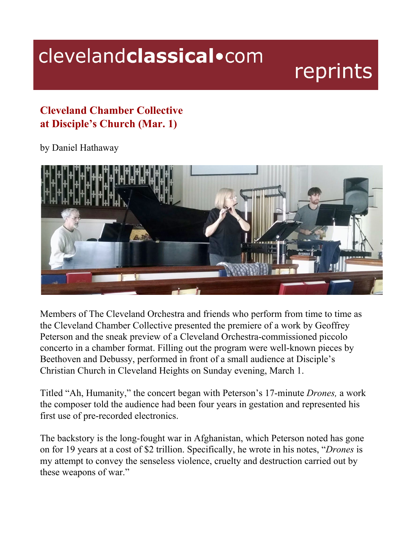## clevelandclassical.com

## reprints

## **Cleveland Chamber Collective at Disciple's Church (Mar. 1)**

by Daniel Hathaway



Members of The Cleveland Orchestra and friends who perform from time to time as the Cleveland Chamber Collective presented the premiere of a work by Geoffrey Peterson and the sneak preview of a Cleveland Orchestra-commissioned piccolo concerto in a chamber format. Filling out the program were well-known pieces by Beethoven and Debussy, performed in front of a small audience at Disciple's Christian Church in Cleveland Heights on Sunday evening, March 1.

Titled "Ah, Humanity," the concert began with Peterson's 17-minute *Drones,* a work the composer told the audience had been four years in gestation and represented his first use of pre-recorded electronics.

The backstory is the long-fought war in Afghanistan, which Peterson noted has gone on for 19 years at a cost of \$2 trillion. Specifically, he wrote in his notes, "*Drones* is my attempt to convey the senseless violence, cruelty and destruction carried out by these weapons of war."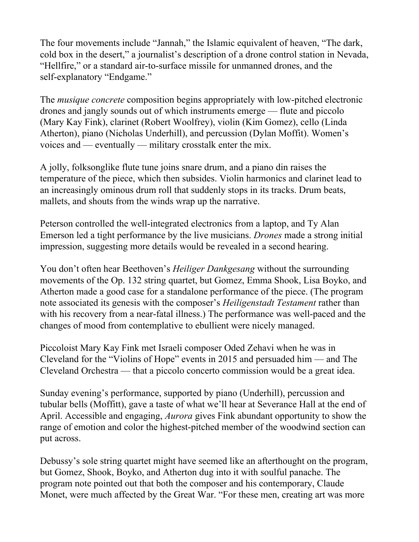The four movements include "Jannah," the Islamic equivalent of heaven, "The dark, cold box in the desert," a journalist's description of a drone control station in Nevada, "Hellfire," or a standard air-to-surface missile for unmanned drones, and the self-explanatory "Endgame."

The *musique concrete* composition begins appropriately with low-pitched electronic drones and jangly sounds out of which instruments emerge — flute and piccolo (Mary Kay Fink), clarinet (Robert Woolfrey), violin (Kim Gomez), cello (Linda Atherton), piano (Nicholas Underhill), and percussion (Dylan Moffit). Women's voices and — eventually — military crosstalk enter the mix.

A jolly, folksonglike flute tune joins snare drum, and a piano din raises the temperature of the piece, which then subsides. Violin harmonics and clarinet lead to an increasingly ominous drum roll that suddenly stops in its tracks. Drum beats, mallets, and shouts from the winds wrap up the narrative.

Peterson controlled the well-integrated electronics from a laptop, and Ty Alan Emerson led a tight performance by the live musicians. *Drones* made a strong initial impression, suggesting more details would be revealed in a second hearing.

You don't often hear Beethoven's *Heiliger Dankgesang* without the surrounding movements of the Op. 132 string quartet, but Gomez, Emma Shook, Lisa Boyko, and Atherton made a good case for a standalone performance of the piece. (The program note associated its genesis with the composer's *Heiligenstadt Testament* rather than with his recovery from a near-fatal illness.) The performance was well-paced and the changes of mood from contemplative to ebullient were nicely managed.

Piccoloist Mary Kay Fink met Israeli composer Oded Zehavi when he was in Cleveland for the "Violins of Hope" events in 2015 and persuaded him — and The Cleveland Orchestra — that a piccolo concerto commission would be a great idea.

Sunday evening's performance, supported by piano (Underhill), percussion and tubular bells (Moffitt), gave a taste of what we'll hear at Severance Hall at the end of April. Accessible and engaging, *Aurora* gives Fink abundant opportunity to show the range of emotion and color the highest-pitched member of the woodwind section can put across.

Debussy's sole string quartet might have seemed like an afterthought on the program, but Gomez, Shook, Boyko, and Atherton dug into it with soulful panache. The program note pointed out that both the composer and his contemporary, Claude Monet, were much affected by the Great War. "For these men, creating art was more